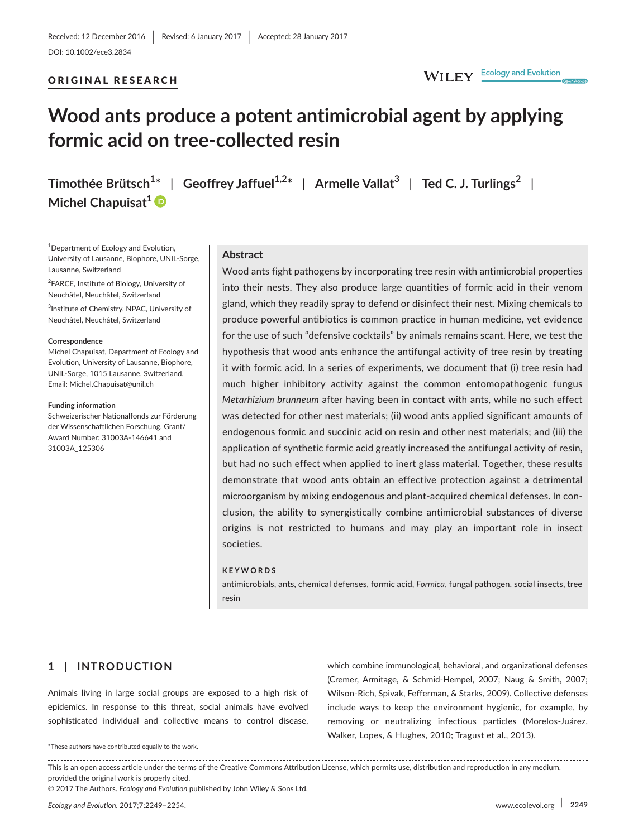#### ORIGINAL RESEARCH

# WILEY Ecology and Evolution

# **Wood ants produce a potent antimicrobial agent by applying formic acid on tree-collected resin**

**Michel Chapuisat<sup>1</sup>**

<sup>1</sup>Department of Ecology and Evolution, University of Lausanne, Biophore, UNIL-Sorge, Lausanne, Switzerland

<sup>2</sup>FARCE, Institute of Biology, University of Neuchâtel, Neuchâtel, Switzerland

<sup>3</sup>Institute of Chemistry, NPAC, University of Neuchâtel, Neuchâtel, Switzerland

#### **Correspondence**

Michel Chapuisat, Department of Ecology and Evolution, University of Lausanne, Biophore, UNIL-Sorge, 1015 Lausanne, Switzerland. Email: [Michel.Chapuisat@unil.ch](mailto:Michel.Chapuisat@unil.ch)

#### **Funding information**

Schweizerischer Nationalfonds zur Förderung der Wissenschaftlichen Forschung, Grant/ Award Number: 31003A-146641 and 31003A\_125306

**Timothée Brütsch<sup>1</sup> \*** | **Geoffrey Jaffuel1,2\*** | **Armelle Vallat<sup>3</sup>** | **Ted C. J. Turlings<sup>2</sup>** |

## **Abstract**

Wood ants fight pathogens by incorporating tree resin with antimicrobial properties into their nests. They also produce large quantities of formic acid in their venom gland, which they readily spray to defend or disinfect their nest. Mixing chemicals to produce powerful antibiotics is common practice in human medicine, yet evidence for the use of such "defensive cocktails" by animals remains scant. Here, we test the hypothesis that wood ants enhance the antifungal activity of tree resin by treating it with formic acid. In a series of experiments, we document that (i) tree resin had much higher inhibitory activity against the common entomopathogenic fungus *Metarhizium brunneum* after having been in contact with ants, while no such effect was detected for other nest materials; (ii) wood ants applied significant amounts of endogenous formic and succinic acid on resin and other nest materials; and (iii) the application of synthetic formic acid greatly increased the antifungal activity of resin, but had no such effect when applied to inert glass material. Together, these results demonstrate that wood ants obtain an effective protection against a detrimental microorganism by mixing endogenous and plant-acquired chemical defenses. In conclusion, the ability to synergistically combine antimicrobial substances of diverse origins is not restricted to humans and may play an important role in insect societies.

#### **KEYWORDS**

antimicrobials, ants, chemical defenses, formic acid, *Formica*, fungal pathogen, social insects, tree resin

## **1** | **INTRODUCTION**

Animals living in large social groups are exposed to a high risk of epidemics. In response to this threat, social animals have evolved sophisticated individual and collective means to control disease,

\*These authors have contributed equally to the work.

which combine immunological, behavioral, and organizational defenses (Cremer, Armitage, & Schmid-Hempel, 2007; Naug & Smith, 2007; Wilson-Rich, Spivak, Fefferman, & Starks, 2009). Collective defenses include ways to keep the environment hygienic, for example, by removing or neutralizing infectious particles (Morelos-Juárez, Walker, Lopes, & Hughes, 2010; Tragust et al., 2013).

This is an open access article under the terms of the Creative Commons [Attribution](http://creativecommons.org/licenses/by/4.0/) License, which permits use, distribution and reproduction in any medium, provided the original work is properly cited.

<sup>©</sup> 2017 The Authors. *Ecology and Evolution* published by John Wiley & Sons Ltd.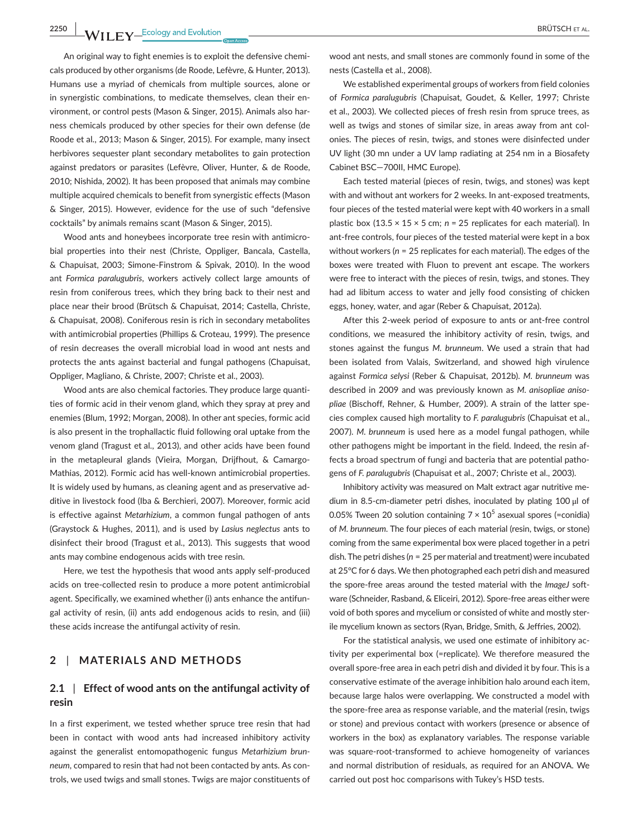**2250 WII FY** Ecology and Evolution **and Experiment Excess of Article 2250 BRÜTSCH ET AL.** 

An original way to fight enemies is to exploit the defensive chemicals produced by other organisms (de Roode, Lefèvre, & Hunter, 2013). Humans use a myriad of chemicals from multiple sources, alone or in synergistic combinations, to medicate themselves, clean their environment, or control pests (Mason & Singer, 2015). Animals also harness chemicals produced by other species for their own defense (de Roode et al., 2013; Mason & Singer, 2015). For example, many insect herbivores sequester plant secondary metabolites to gain protection against predators or parasites (Lefèvre, Oliver, Hunter, & de Roode, 2010; Nishida, 2002). It has been proposed that animals may combine multiple acquired chemicals to benefit from synergistic effects (Mason & Singer, 2015). However, evidence for the use of such "defensive cocktails" by animals remains scant (Mason & Singer, 2015).

Wood ants and honeybees incorporate tree resin with antimicrobial properties into their nest (Christe, Oppliger, Bancala, Castella, & Chapuisat, 2003; Simone-Finstrom & Spivak, 2010). In the wood ant *Formica paralugubris*, workers actively collect large amounts of resin from coniferous trees, which they bring back to their nest and place near their brood (Brütsch & Chapuisat, 2014; Castella, Christe, & Chapuisat, 2008). Coniferous resin is rich in secondary metabolites with antimicrobial properties (Phillips & Croteau, 1999). The presence of resin decreases the overall microbial load in wood ant nests and protects the ants against bacterial and fungal pathogens (Chapuisat, Oppliger, Magliano, & Christe, 2007; Christe et al., 2003).

Wood ants are also chemical factories. They produce large quantities of formic acid in their venom gland, which they spray at prey and enemies (Blum, 1992; Morgan, 2008). In other ant species, formic acid is also present in the trophallactic fluid following oral uptake from the venom gland (Tragust et al., 2013), and other acids have been found in the metapleural glands (Vieira, Morgan, Drijfhout, & Camargo-Mathias, 2012). Formic acid has well-known antimicrobial properties. It is widely used by humans, as cleaning agent and as preservative additive in livestock food (Iba & Berchieri, 2007). Moreover, formic acid is effective against *Metarhizium*, a common fungal pathogen of ants (Graystock & Hughes, 2011), and is used by *Lasiu*s *neglectus* ants to disinfect their brood (Tragust et al., 2013). This suggests that wood ants may combine endogenous acids with tree resin.

Here, we test the hypothesis that wood ants apply self-produced acids on tree-collected resin to produce a more potent antimicrobial agent. Specifically, we examined whether (i) ants enhance the antifungal activity of resin, (ii) ants add endogenous acids to resin, and (iii) these acids increase the antifungal activity of resin.

#### **2** | **MATERIALS AND METHODS**

# **2.1** | **Effect of wood ants on the antifungal activity of resin**

In a first experiment, we tested whether spruce tree resin that had been in contact with wood ants had increased inhibitory activity against the generalist entomopathogenic fungus *Metarhizium brunneum*, compared to resin that had not been contacted by ants. As controls, we used twigs and small stones. Twigs are major constituents of

wood ant nests, and small stones are commonly found in some of the nests (Castella et al., 2008).

We established experimental groups of workers from field colonies of *Formica paralugubris* (Chapuisat, Goudet, & Keller, 1997; Christe et al., 2003). We collected pieces of fresh resin from spruce trees, as well as twigs and stones of similar size, in areas away from ant colonies. The pieces of resin, twigs, and stones were disinfected under UV light (30 mn under a UV lamp radiating at 254 nm in a Biosafety Cabinet BSC—700II, HMC Europe).

Each tested material (pieces of resin, twigs, and stones) was kept with and without ant workers for 2 weeks. In ant-exposed treatments, four pieces of the tested material were kept with 40 workers in a small plastic box (13.5 × 15 × 5 cm; *n* = 25 replicates for each material). In ant-free controls, four pieces of the tested material were kept in a box without workers (*n* = 25 replicates for each material). The edges of the boxes were treated with Fluon to prevent ant escape. The workers were free to interact with the pieces of resin, twigs, and stones. They had ad libitum access to water and jelly food consisting of chicken eggs, honey, water, and agar (Reber & Chapuisat, 2012a).

After this 2-week period of exposure to ants or ant-free control conditions, we measured the inhibitory activity of resin, twigs, and stones against the fungus *M. brunneum*. We used a strain that had been isolated from Valais, Switzerland, and showed high virulence against *Formica selysi* (Reber & Chapuisat, 2012b). *M. brunneum* was described in 2009 and was previously known as *M. anisopliae anisopliae* (Bischoff, Rehner, & Humber, 2009). A strain of the latter species complex caused high mortality to *F. paralugubris* (Chapuisat et al., 2007). *M. brunneum* is used here as a model fungal pathogen, while other pathogens might be important in the field. Indeed, the resin affects a broad spectrum of fungi and bacteria that are potential pathogens of *F. paralugubris* (Chapuisat et al., 2007; Christe et al., 2003).

Inhibitory activity was measured on Malt extract agar nutritive medium in 8.5-cm-diameter petri dishes, inoculated by plating 100 μl of 0.05% Tween 20 solution containing  $7 \times 10^5$  asexual spores (=conidia) of *M. brunneum*. The four pieces of each material (resin, twigs, or stone) coming from the same experimental box were placed together in a petri dish. The petri dishes (*n* = 25 per material and treatment) were incubated at 25°C for 6 days. We then photographed each petri dish and measured the spore-free areas around the tested material with the *ImageJ* software (Schneider, Rasband, & Eliceiri, 2012). Spore-free areas either were void of both spores and mycelium or consisted of white and mostly sterile mycelium known as sectors (Ryan, Bridge, Smith, & Jeffries, 2002).

For the statistical analysis, we used one estimate of inhibitory activity per experimental box (=replicate). We therefore measured the overall spore-free area in each petri dish and divided it by four. This is a conservative estimate of the average inhibition halo around each item, because large halos were overlapping. We constructed a model with the spore-free area as response variable, and the material (resin, twigs or stone) and previous contact with workers (presence or absence of workers in the box) as explanatory variables. The response variable was square-root-transformed to achieve homogeneity of variances and normal distribution of residuals, as required for an ANOVA. We carried out post hoc comparisons with Tukey's HSD tests.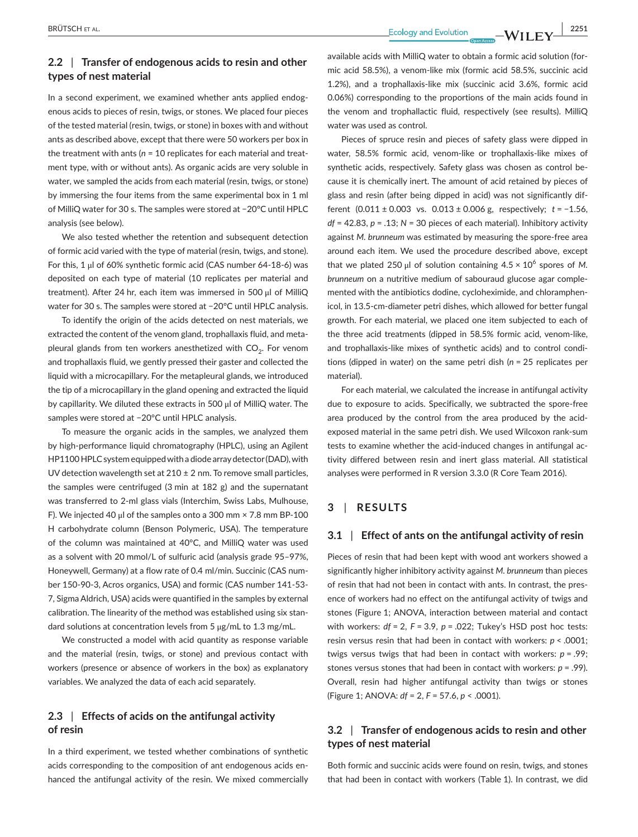# **2.2** | **Transfer of endogenous acids to resin and other types of nest material**

In a second experiment, we examined whether ants applied endogenous acids to pieces of resin, twigs, or stones. We placed four pieces of the tested material (resin, twigs, or stone) in boxes with and without ants as described above, except that there were 50 workers per box in the treatment with ants (*n* = 10 replicates for each material and treatment type, with or without ants). As organic acids are very soluble in water, we sampled the acids from each material (resin, twigs, or stone) by immersing the four items from the same experimental box in 1 ml of MilliQ water for 30 s. The samples were stored at −20°C until HPLC analysis (see below).

We also tested whether the retention and subsequent detection of formic acid varied with the type of material (resin, twigs, and stone). For this, 1 μl of 60% synthetic formic acid (CAS number 64-18-6) was deposited on each type of material (10 replicates per material and treatment). After 24 hr, each item was immersed in 500 μl of MilliQ water for 30 s. The samples were stored at −20°C until HPLC analysis.

To identify the origin of the acids detected on nest materials, we extracted the content of the venom gland, trophallaxis fluid, and metapleural glands from ten workers anesthetized with  $CO<sub>2</sub>$ . For venom and trophallaxis fluid, we gently pressed their gaster and collected the liquid with a microcapillary. For the metapleural glands, we introduced the tip of a microcapillary in the gland opening and extracted the liquid by capillarity. We diluted these extracts in 500 μl of MilliQ water. The samples were stored at −20°C until HPLC analysis.

To measure the organic acids in the samples, we analyzed them by high-performance liquid chromatography (HPLC), using an Agilent [HP1100](info:ddbj-embl-genbank/HP1100) HPLC system equipped with a diode array detector (DAD), with UV detection wavelength set at  $210 \pm 2$  nm. To remove small particles, the samples were centrifuged (3 min at 182 g) and the supernatant was transferred to 2-ml glass vials (Interchim, Swiss Labs, Mulhouse, F). We injected 40 μl of the samples onto a 300 mm × 7.8 mm BP-100 H carbohydrate column (Benson Polymeric, USA). The temperature of the column was maintained at 40°C, and MilliQ water was used as a solvent with 20 mmol/L of sulfuric acid (analysis grade 95–97%, Honeywell, Germany) at a flow rate of 0.4 ml/min. Succinic (CAS number 150-90-3, Acros organics, USA) and formic (CAS number 141-53- 7, Sigma Aldrich, USA) acids were quantified in the samples by external calibration. The linearity of the method was established using six standard solutions at concentration levels from 5 μg/mL to 1.3 mg/mL.

We constructed a model with acid quantity as response variable and the material (resin, twigs, or stone) and previous contact with workers (presence or absence of workers in the box) as explanatory variables. We analyzed the data of each acid separately.

# **2.3** | **Effects of acids on the antifungal activity of resin**

In a third experiment, we tested whether combinations of synthetic acids corresponding to the composition of ant endogenous acids enhanced the antifungal activity of the resin. We mixed commercially available acids with MilliQ water to obtain a formic acid solution (formic acid 58.5%), a venom-like mix (formic acid 58.5%, succinic acid 1.2%), and a trophallaxis-like mix (succinic acid 3.6%, formic acid 0.06%) corresponding to the proportions of the main acids found in the venom and trophallactic fluid, respectively (see results). MilliQ water was used as control.

Pieces of spruce resin and pieces of safety glass were dipped in water, 58.5% formic acid, venom-like or trophallaxis-like mixes of synthetic acids, respectively. Safety glass was chosen as control because it is chemically inert. The amount of acid retained by pieces of glass and resin (after being dipped in acid) was not significantly different (0.011 ± 0.003 vs. 0.013 ± 0.006 g, respectively; *t* = −1.56, *df* = 42.83, *p* = .13; *N* = 30 pieces of each material). Inhibitory activity against *M. brunneum* was estimated by measuring the spore-free area around each item. We used the procedure described above, except that we plated 250 μl of solution containing  $4.5 \times 10^6$  spores of M. *brunneum* on a nutritive medium of sabouraud glucose agar complemented with the antibiotics dodine, cycloheximide, and chloramphenicol, in 13.5-cm-diameter petri dishes, which allowed for better fungal growth. For each material, we placed one item subjected to each of the three acid treatments (dipped in 58.5% formic acid, venom-like, and trophallaxis-like mixes of synthetic acids) and to control conditions (dipped in water) on the same petri dish (*n* = 25 replicates per material).

For each material, we calculated the increase in antifungal activity due to exposure to acids. Specifically, we subtracted the spore-free area produced by the control from the area produced by the acidexposed material in the same petri dish. We used Wilcoxon rank-sum tests to examine whether the acid-induced changes in antifungal activity differed between resin and inert glass material. All statistical analyses were performed in R version 3.3.0 (R Core Team 2016).

# **3** | **RESULTS**

## **3.1** | **Effect of ants on the antifungal activity of resin**

Pieces of resin that had been kept with wood ant workers showed a significantly higher inhibitory activity against *M. brunneum* than pieces of resin that had not been in contact with ants. In contrast, the presence of workers had no effect on the antifungal activity of twigs and stones (Figure 1; ANOVA, interaction between material and contact with workers: *df* = 2, *F* = 3.9, *p* = .022; Tukey's HSD post hoc tests: resin versus resin that had been in contact with workers: *p* < .0001; twigs versus twigs that had been in contact with workers: *p* = .99; stones versus stones that had been in contact with workers: *p* = .99). Overall, resin had higher antifungal activity than twigs or stones (Figure 1; ANOVA: *df* = 2, *F* = 57.6, *p* < .0001).

# **3.2** | **Transfer of endogenous acids to resin and other types of nest material**

Both formic and succinic acids were found on resin, twigs, and stones that had been in contact with workers (Table 1). In contrast, we did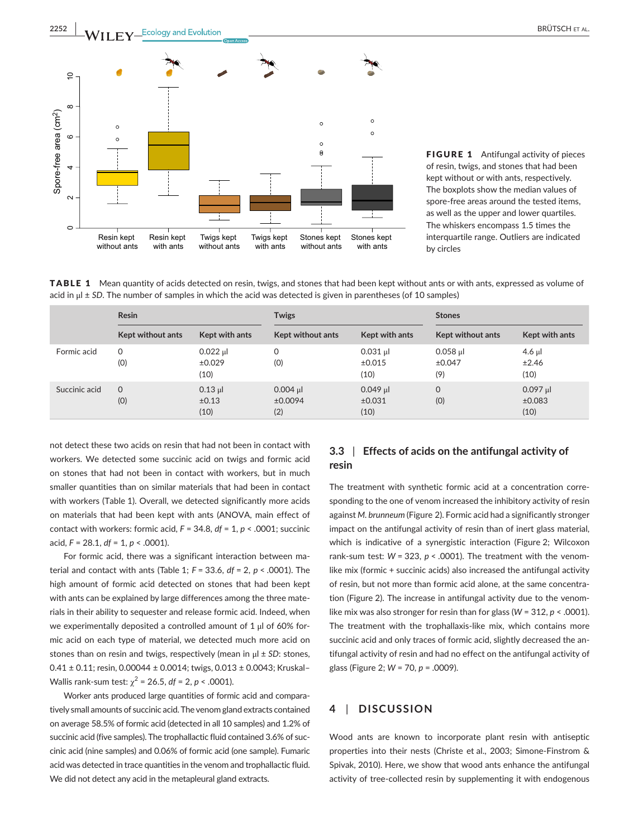

without ants

with ants

FIGURE 1 Antifungal activity of pieces of resin, twigs, and stones that had been kept without or with ants, respectively. The boxplots show the median values of spore-free areas around the tested items, as well as the upper and lower quartiles. The whiskers encompass 1.5 times the interquartile range. Outliers are indicated by circles

TABLE 1 Mean quantity of acids detected on resin, twigs, and stones that had been kept without ants or with ants, expressed as volume of acid in μl ± *SD*. The number of samples in which the acid was detected is given in parentheses (of 10 samples)

without ants

with ants

|               | <b>Resin</b>      |                              | <b>Twigs</b>                 |                                  | <b>Stones</b>               |                              |
|---------------|-------------------|------------------------------|------------------------------|----------------------------------|-----------------------------|------------------------------|
|               | Kept without ants | Kept with ants               | <b>Kept without ants</b>     | Kept with ants                   | <b>Kept without ants</b>    | Kept with ants               |
| Formic acid   | $\Omega$<br>(0)   | $0.022$ µl<br>±0.029<br>(10) | 0<br>(0)                     | $0.031$ µ<br>$\pm 0.015$<br>(10) | $0.058$ µl<br>±0.047<br>(9) | $4.6$ µl<br>±2.46<br>(10)    |
| Succinic acid | $\Omega$<br>(0)   | $0.13$ µ<br>±0.13<br>(10)    | $0.004$ µl<br>±0.0094<br>(2) | $0.049$ µl<br>±0.031<br>(10)     | $\mathbf 0$<br>(0)          | $0.097$ µl<br>±0.083<br>(10) |

not detect these two acids on resin that had not been in contact with workers. We detected some succinic acid on twigs and formic acid on stones that had not been in contact with workers, but in much smaller quantities than on similar materials that had been in contact with workers (Table 1). Overall, we detected significantly more acids on materials that had been kept with ants (ANOVA, main effect of contact with workers: formic acid, *F* = 34.8, *df* = 1, *p* < .0001; succinic acid, *F* = 28.1, *df* = 1, *p* < .0001).

without ants

with ants

For formic acid, there was a significant interaction between material and contact with ants (Table 1; *F* = 33.6, *df* = 2, *p* < .0001). The high amount of formic acid detected on stones that had been kept with ants can be explained by large differences among the three materials in their ability to sequester and release formic acid. Indeed, when we experimentally deposited a controlled amount of 1 μl of 60% formic acid on each type of material, we detected much more acid on stones than on resin and twigs, respectively (mean in μl ± *SD*: stones, 0.41 ± 0.11; resin, 0.00044 ± 0.0014; twigs, 0.013 ± 0.0043; Kruskal– Wallis rank-sum test:  $\chi^2$  = 26.5, *df* = 2, *p* < .0001).

Worker ants produced large quantities of formic acid and comparatively small amounts of succinic acid.The venom gland extracts contained on average 58.5% of formic acid (detected in all 10 samples) and 1.2% of succinic acid (five samples). The trophallactic fluid contained 3.6% of succinic acid (nine samples) and 0.06% of formic acid (one sample). Fumaric acid was detected in trace quantities in the venom and trophallactic fluid. We did not detect any acid in the metapleural gland extracts.

# **3.3** | **Effects of acids on the antifungal activity of resin**

The treatment with synthetic formic acid at a concentration corresponding to the one of venom increased the inhibitory activity of resin against *M. brunneum* (Figure 2). Formic acid had a significantly stronger impact on the antifungal activity of resin than of inert glass material, which is indicative of a synergistic interaction (Figure 2; Wilcoxon rank-sum test:  $W = 323$ ,  $p < .0001$ ). The treatment with the venomlike mix (formic + succinic acids) also increased the antifungal activity of resin, but not more than formic acid alone, at the same concentration (Figure 2). The increase in antifungal activity due to the venomlike mix was also stronger for resin than for glass (*W* = 312, *p* < .0001). The treatment with the trophallaxis-like mix, which contains more succinic acid and only traces of formic acid, slightly decreased the antifungal activity of resin and had no effect on the antifungal activity of glass (Figure 2; *W* = 70, *p* = .0009).

# **4** | **DISCUSSION**

Wood ants are known to incorporate plant resin with antiseptic properties into their nests (Christe et al., 2003; Simone-Finstrom & Spivak, 2010). Here, we show that wood ants enhance the antifungal activity of tree-collected resin by supplementing it with endogenous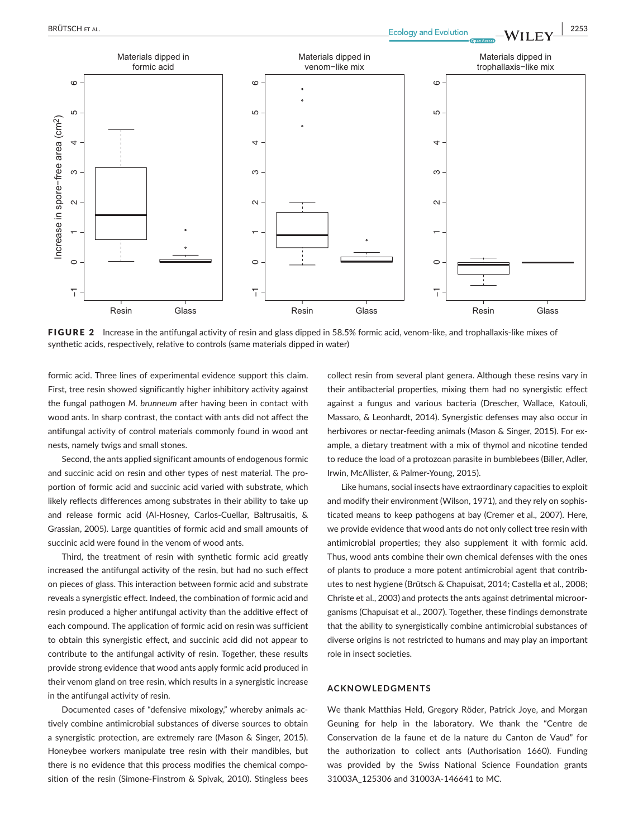



FIGURE 2 Increase in the antifungal activity of resin and glass dipped in 58.5% formic acid, venom-like, and trophallaxis-like mixes of synthetic acids, respectively, relative to controls (same materials dipped in water)

formic acid. Three lines of experimental evidence support this claim. First, tree resin showed significantly higher inhibitory activity against the fungal pathogen *M. brunneum* after having been in contact with wood ants. In sharp contrast, the contact with ants did not affect the antifungal activity of control materials commonly found in wood ant nests, namely twigs and small stones.

Second, the ants applied significant amounts of endogenous formic and succinic acid on resin and other types of nest material. The proportion of formic acid and succinic acid varied with substrate, which likely reflects differences among substrates in their ability to take up and release formic acid (Al-Hosney, Carlos-Cuellar, Baltrusaitis, & Grassian, 2005). Large quantities of formic acid and small amounts of succinic acid were found in the venom of wood ants.

Third, the treatment of resin with synthetic formic acid greatly increased the antifungal activity of the resin, but had no such effect on pieces of glass. This interaction between formic acid and substrate reveals a synergistic effect. Indeed, the combination of formic acid and resin produced a higher antifungal activity than the additive effect of each compound. The application of formic acid on resin was sufficient to obtain this synergistic effect, and succinic acid did not appear to contribute to the antifungal activity of resin. Together, these results provide strong evidence that wood ants apply formic acid produced in their venom gland on tree resin, which results in a synergistic increase in the antifungal activity of resin.

Documented cases of "defensive mixology," whereby animals actively combine antimicrobial substances of diverse sources to obtain a synergistic protection, are extremely rare (Mason & Singer, 2015). Honeybee workers manipulate tree resin with their mandibles, but there is no evidence that this process modifies the chemical composition of the resin (Simone-Finstrom & Spivak, 2010). Stingless bees

collect resin from several plant genera. Although these resins vary in their antibacterial properties, mixing them had no synergistic effect against a fungus and various bacteria (Drescher, Wallace, Katouli, Massaro, & Leonhardt, 2014). Synergistic defenses may also occur in herbivores or nectar-feeding animals (Mason & Singer, 2015). For example, a dietary treatment with a mix of thymol and nicotine tended to reduce the load of a protozoan parasite in bumblebees (Biller, Adler, Irwin, McAllister, & Palmer-Young, 2015).

Like humans, social insects have extraordinary capacities to exploit and modify their environment (Wilson, 1971), and they rely on sophisticated means to keep pathogens at bay (Cremer et al., 2007). Here, we provide evidence that wood ants do not only collect tree resin with antimicrobial properties; they also supplement it with formic acid. Thus, wood ants combine their own chemical defenses with the ones of plants to produce a more potent antimicrobial agent that contributes to nest hygiene (Brütsch & Chapuisat, 2014; Castella et al., 2008; Christe et al., 2003) and protects the ants against detrimental microorganisms (Chapuisat et al., 2007). Together, these findings demonstrate that the ability to synergistically combine antimicrobial substances of diverse origins is not restricted to humans and may play an important role in insect societies.

#### **ACKNOWLEDGMENTS**

We thank Matthias Held, Gregory Röder, Patrick Joye, and Morgan Geuning for help in the laboratory. We thank the "Centre de Conservation de la faune et de la nature du Canton de Vaud" for the authorization to collect ants (Authorisation 1660). Funding was provided by the Swiss National Science Foundation grants 31003A\_125306 and 31003A-146641 to MC.